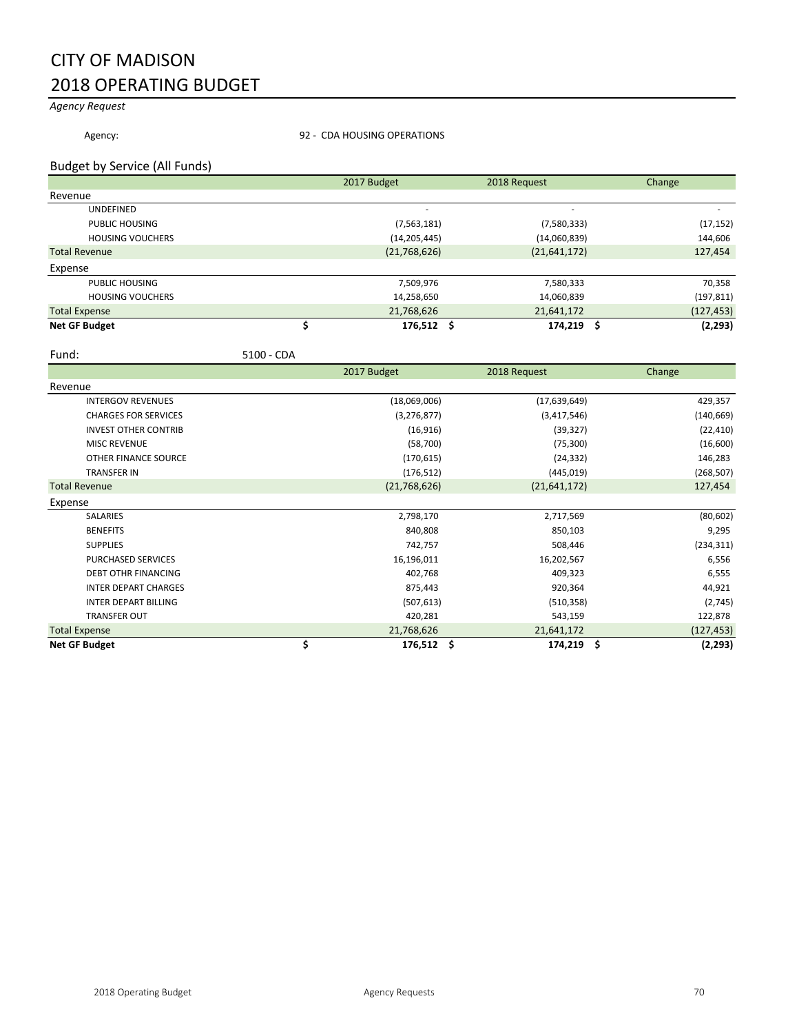# CITY OF MADISON 2018 OPERATING BUDGET

*Agency Request*

Agency: 32 - CDA HOUSING OPERATIONS

#### Budget by Service (All Funds)

|                         |  | 2017 Budget        | 2018 Request   | Change          |
|-------------------------|--|--------------------|----------------|-----------------|
| Revenue                 |  |                    |                |                 |
| <b>UNDEFINED</b>        |  |                    |                |                 |
| PUBLIC HOUSING          |  | (7, 563, 181)      | (7,580,333)    | (17, 152)       |
| <b>HOUSING VOUCHERS</b> |  | (14, 205, 445)     | (14,060,839)   | 144,606         |
| <b>Total Revenue</b>    |  | (21,768,626)       | (21, 641, 172) | 127,454         |
| Expense                 |  |                    |                |                 |
| PUBLIC HOUSING          |  | 7,509,976          | 7,580,333      | 70,358          |
| <b>HOUSING VOUCHERS</b> |  | 14,258,650         | 14,060,839     | (197, 811)      |
| <b>Total Expense</b>    |  | 21,768,626         | 21,641,172     | (127, 453)      |
| <b>Net GF Budget</b>    |  | $176,512 \quad$ \$ | 174,219        | (2, 293)<br>- S |

Fund: 5100 - CDA

|                             | 2017 Budget      | 2018 Request   | Change          |
|-----------------------------|------------------|----------------|-----------------|
| Revenue                     |                  |                |                 |
| <b>INTERGOV REVENUES</b>    | (18,069,006)     | (17,639,649)   | 429,357         |
| <b>CHARGES FOR SERVICES</b> | (3, 276, 877)    | (3,417,546)    | (140, 669)      |
| <b>INVEST OTHER CONTRIB</b> | (16, 916)        | (39, 327)      | (22, 410)       |
| <b>MISC REVENUE</b>         | (58,700)         | (75, 300)      | (16,600)        |
| OTHER FINANCE SOURCE        | (170, 615)       | (24, 332)      | 146,283         |
| <b>TRANSFER IN</b>          | (176, 512)       | (445, 019)     | (268, 507)      |
| <b>Total Revenue</b>        | (21,768,626)     | (21, 641, 172) | 127,454         |
| Expense                     |                  |                |                 |
| SALARIES                    | 2,798,170        | 2,717,569      | (80, 602)       |
| <b>BENEFITS</b>             | 840,808          | 850,103        | 9,295           |
| <b>SUPPLIES</b>             | 742,757          | 508,446        | (234, 311)      |
| <b>PURCHASED SERVICES</b>   | 16,196,011       | 16,202,567     | 6,556           |
| <b>DEBT OTHR FINANCING</b>  | 402,768          | 409,323        | 6,555           |
| <b>INTER DEPART CHARGES</b> | 875,443          | 920,364        | 44,921          |
| <b>INTER DEPART BILLING</b> | (507, 613)       | (510, 358)     | (2,745)         |
| <b>TRANSFER OUT</b>         | 420,281          | 543,159        | 122,878         |
| <b>Total Expense</b>        | 21,768,626       | 21,641,172     | (127, 453)      |
| <b>Net GF Budget</b>        | \$<br>176,512 \$ | 174,219        | -\$<br>(2, 293) |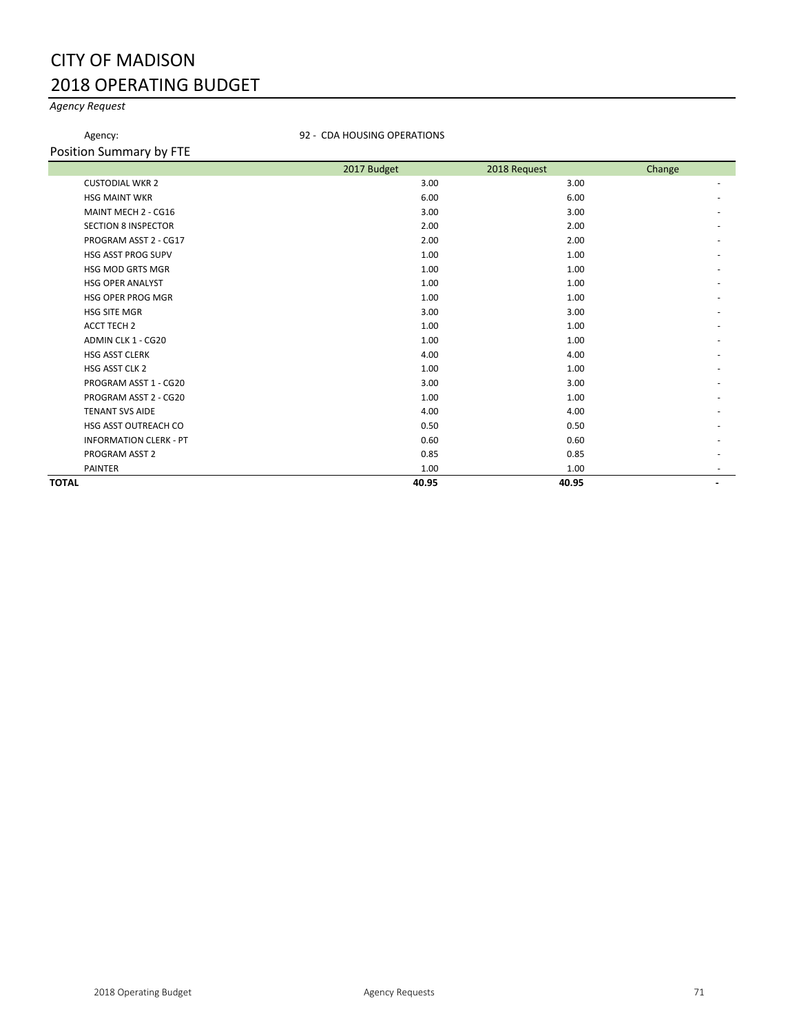# CITY OF MADISON 2018 OPERATING BUDGET

## *Agency Request*

Agency: **92 - CDA HOUSING OPERATIONS** 

Position Summary by FTE

|              |                               | 2017 Budget | 2018 Request | Change |
|--------------|-------------------------------|-------------|--------------|--------|
|              | <b>CUSTODIAL WKR 2</b>        | 3.00        | 3.00         | $\sim$ |
|              | <b>HSG MAINT WKR</b>          | 6.00        | 6.00         |        |
|              | MAINT MECH 2 - CG16           | 3.00        | 3.00         |        |
|              | <b>SECTION 8 INSPECTOR</b>    | 2.00        | 2.00         |        |
|              | PROGRAM ASST 2 - CG17         | 2.00        | 2.00         |        |
|              | <b>HSG ASST PROG SUPV</b>     | 1.00        | 1.00         |        |
|              | <b>HSG MOD GRTS MGR</b>       | 1.00        | 1.00         |        |
|              | <b>HSG OPER ANALYST</b>       | 1.00        | 1.00         |        |
|              | <b>HSG OPER PROG MGR</b>      | 1.00        | 1.00         |        |
|              | <b>HSG SITE MGR</b>           | 3.00        | 3.00         |        |
|              | <b>ACCT TECH 2</b>            | 1.00        | 1.00         |        |
|              | ADMIN CLK 1 - CG20            | 1.00        | 1.00         |        |
|              | <b>HSG ASST CLERK</b>         | 4.00        | 4.00         |        |
|              | HSG ASST CLK 2                | 1.00        | 1.00         |        |
|              | PROGRAM ASST 1 - CG20         | 3.00        | 3.00         |        |
|              | PROGRAM ASST 2 - CG20         | 1.00        | 1.00         |        |
|              | <b>TENANT SVS AIDE</b>        | 4.00        | 4.00         |        |
|              | HSG ASST OUTREACH CO          | 0.50        | 0.50         |        |
|              | <b>INFORMATION CLERK - PT</b> | 0.60        | 0.60         |        |
|              | PROGRAM ASST 2                | 0.85        | 0.85         |        |
|              | <b>PAINTER</b>                | 1.00        | 1.00         |        |
| <b>TOTAL</b> |                               | 40.95       | 40.95        | ۰.     |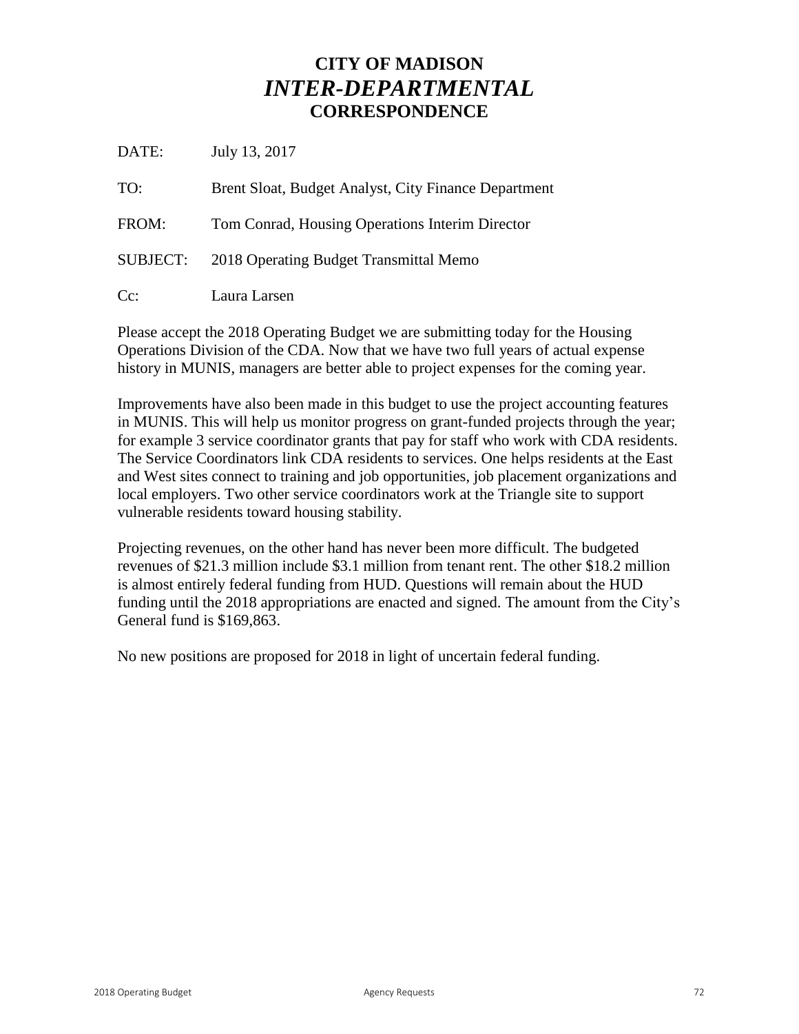## **CITY OF MADISON** *INTER-DEPARTMENTAL* **CORRESPONDENCE**

DATE: July 13, 2017

TO: Brent Sloat, Budget Analyst, City Finance Department FROM: Tom Conrad, Housing Operations Interim Director SUBJECT: 2018 Operating Budget Transmittal Memo Cc: Laura Larsen

Please accept the 2018 Operating Budget we are submitting today for the Housing Operations Division of the CDA. Now that we have two full years of actual expense history in MUNIS, managers are better able to project expenses for the coming year.

Improvements have also been made in this budget to use the project accounting features in MUNIS. This will help us monitor progress on grant-funded projects through the year; for example 3 service coordinator grants that pay for staff who work with CDA residents. The Service Coordinators link CDA residents to services. One helps residents at the East and West sites connect to training and job opportunities, job placement organizations and local employers. Two other service coordinators work at the Triangle site to support vulnerable residents toward housing stability.

Projecting revenues, on the other hand has never been more difficult. The budgeted revenues of \$21.3 million include \$3.1 million from tenant rent. The other \$18.2 million is almost entirely federal funding from HUD. Questions will remain about the HUD funding until the 2018 appropriations are enacted and signed. The amount from the City's General fund is \$169,863.

No new positions are proposed for 2018 in light of uncertain federal funding.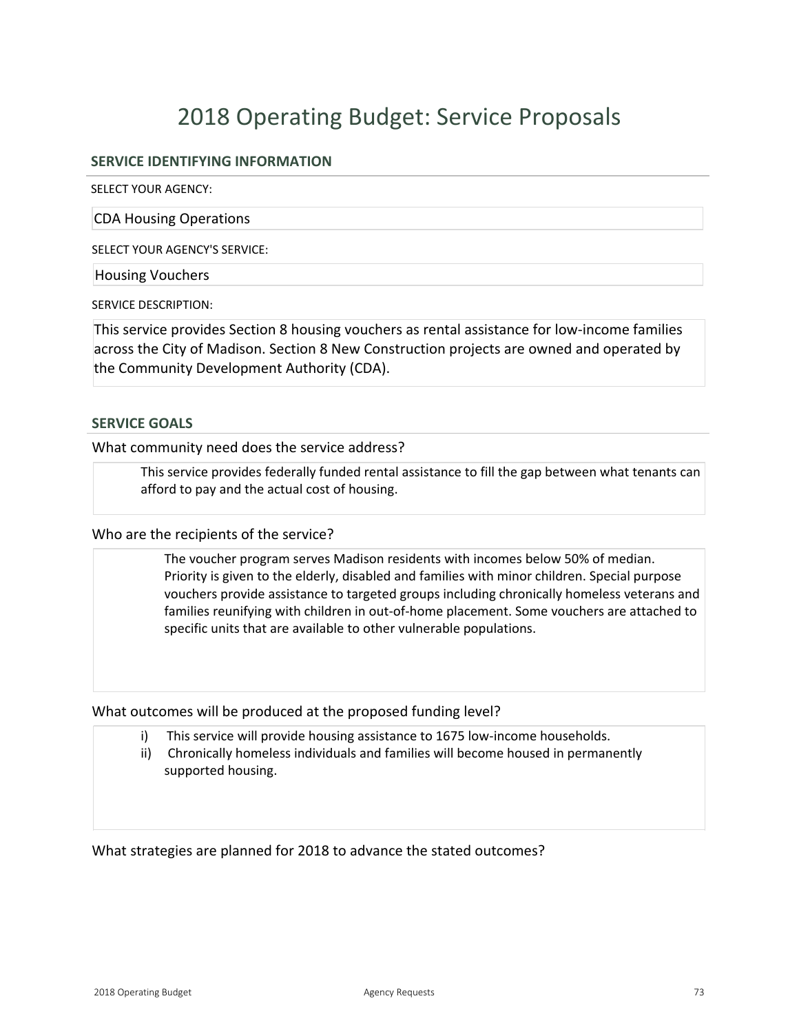# 2018 Operating Budget: Service Proposals

### **SERVICE IDENTIFYING INFORMATION**

SELECT YOUR AGENCY:

CDA Housing Operations

SELECT YOUR AGENCY'S SERVICE:

Housing Vouchers

SERVICE DESCRIPTION:

This service provides Section 8 housing vouchers as rental assistance for low-income families across the City of Madison. Section 8 New Construction projects are owned and operated by the Community Development Authority (CDA).

#### **SERVICE GOALS**

What community need does the service address?

This service provides federally funded rental assistance to fill the gap between what tenants can afford to pay and the actual cost of housing.

#### Who are the recipients of the service?

The voucher program serves Madison residents with incomes below 50% of median. Priority is given to the elderly, disabled and families with minor children. Special purpose vouchers provide assistance to targeted groups including chronically homeless veterans and families reunifying with children in out-of-home placement. Some vouchers are attached to specific units that are available to other vulnerable populations.

What outcomes will be produced at the proposed funding level?

- i) This service will provide housing assistance to 1675 low-income households.
- ii) Chronically homeless individuals and families will become housed in permanently supported housing.

What strategies are planned for 2018 to advance the stated outcomes?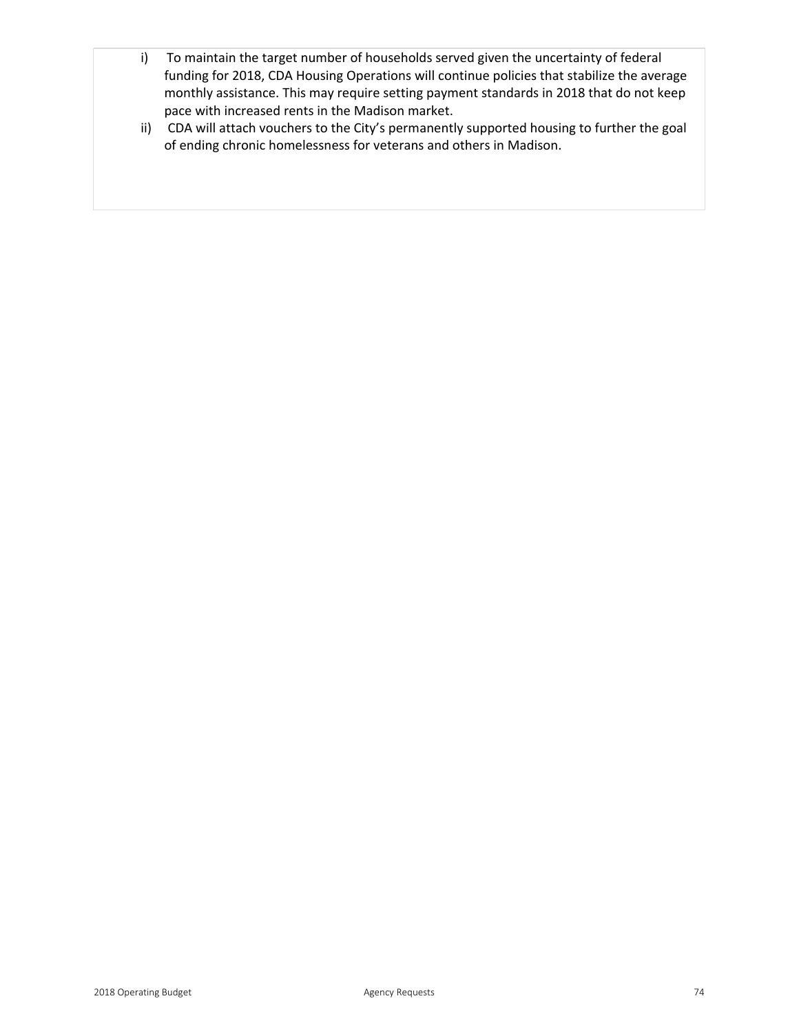- i) To maintain the target number of households served given the uncertainty of federal funding for 2018, CDA Housing Operations will continue policies that stabilize the average monthly assistance. This may require setting payment standards in 2018 that do not keep pace with increased rents in the Madison market.
- ii) CDA will attach vouchers to the City's permanently supported housing to further the goal of ending chronic homelessness for veterans and others in Madison.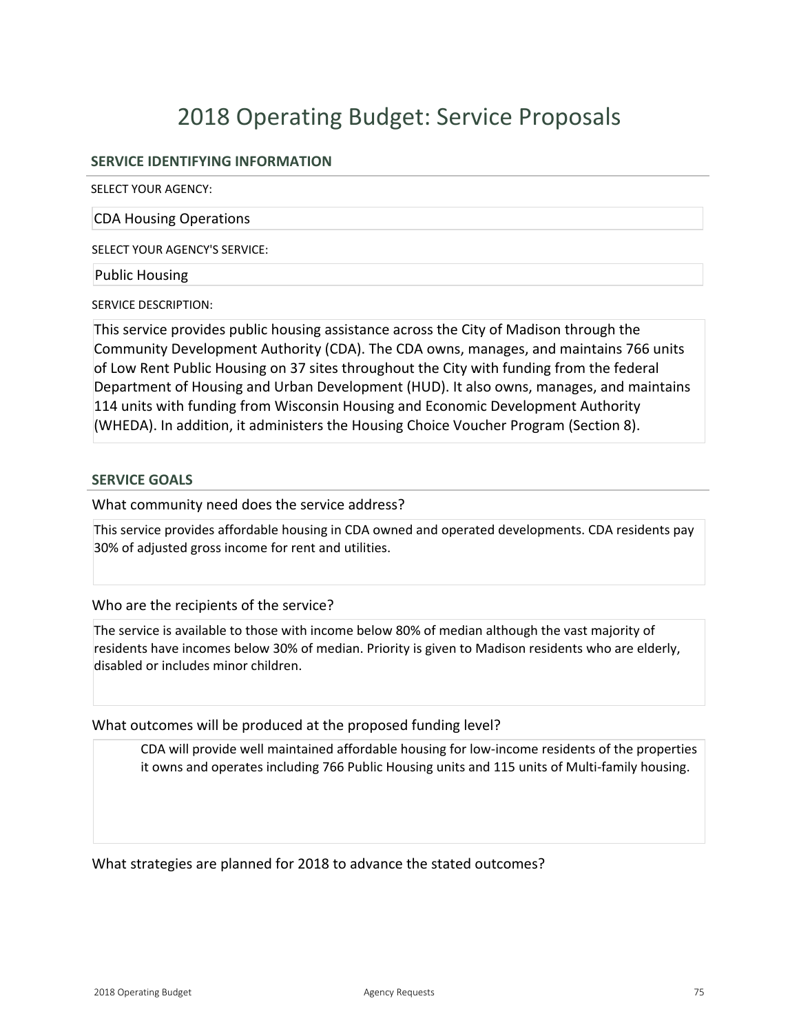# 2018 Operating Budget: Service Proposals

### **SERVICE IDENTIFYING INFORMATION**

SELECT YOUR AGENCY:

CDA Housing Operations

SELECT YOUR AGENCY'S SERVICE:

Public Housing

SERVICE DESCRIPTION:

This service provides public housing assistance across the City of Madison through the Community Development Authority (CDA). The CDA owns, manages, and maintains 766 units of Low Rent Public Housing on 37 sites throughout the City with funding from the federal Department of Housing and Urban Development (HUD). It also owns, manages, and maintains 114 units with funding from Wisconsin Housing and Economic Development Authority (WHEDA). In addition, it administers the Housing Choice Voucher Program (Section 8).

#### **SERVICE GOALS**

What community need does the service address?

This service provides affordable housing in CDA owned and operated developments. CDA residents pay 30% of adjusted gross income for rent and utilities.

#### Who are the recipients of the service?

The service is available to those with income below 80% of median although the vast majority of residents have incomes below 30% of median. Priority is given to Madison residents who are elderly, disabled or includes minor children.

What outcomes will be produced at the proposed funding level?

CDA will provide well maintained affordable housing for lowincome residents of the properties it owns and operates including 766 Public Housing units and 115 units of Multi-family housing.

What strategies are planned for 2018 to advance the stated outcomes?